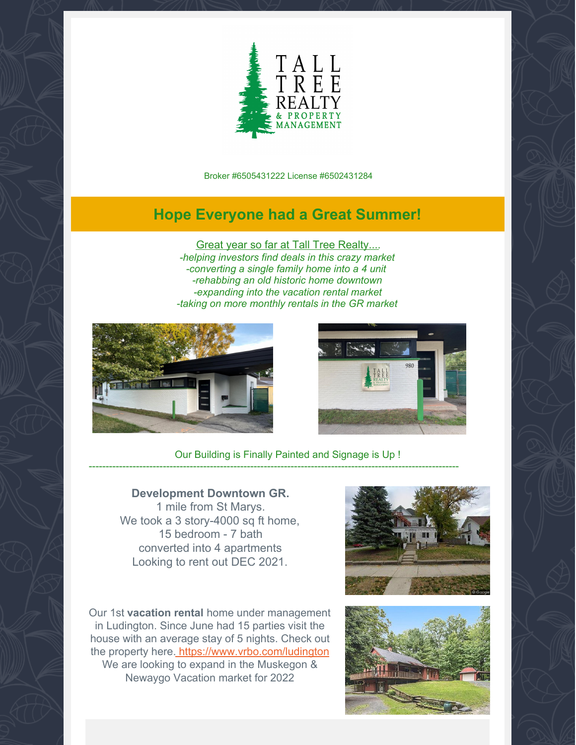

Broker #6505431222 License #6502431284

## **Hope Everyone had a Great Summer!**

Great year so far at Tall Tree Realty.... *-helping investors find deals in this crazy market -converting a single family home into a 4 unit -rehabbing an old historic home downtown -expanding into the vacation rental market -taking on more monthly rentals in the GR market*





Our Building is Finally Painted and Signage is Up !

--------------------------------------------------------------------------------------------------------------

## **Development Downtown GR.**

1 mile from St Marys. We took a 3 story-4000 sq ft home, 15 bedroom - 7 bath converted into 4 apartments Looking to rent out DEC 2021.

Our 1st **vacation rental** home under management in Ludington. Since June had 15 parties visit the house with an average stay of 5 nights. Check out the property here. [https://www.vrbo.com/ludington](https://www.vrbo.com/2155918?unitId=2720454) We are looking to expand in the Muskegon & Newaygo Vacation market for 2022